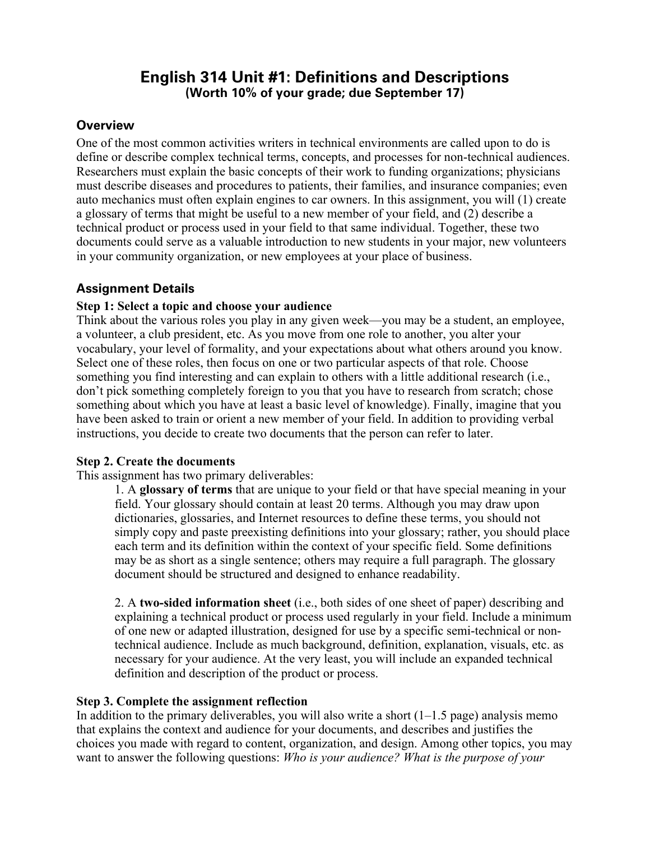# **English 314 Unit #1: Definitions and Descriptions (Worth 10% of your grade; due September 17)**

# **Overview**

One of the most common activities writers in technical environments are called upon to do is define or describe complex technical terms, concepts, and processes for non-technical audiences. Researchers must explain the basic concepts of their work to funding organizations; physicians must describe diseases and procedures to patients, their families, and insurance companies; even auto mechanics must often explain engines to car owners. In this assignment, you will (1) create a glossary of terms that might be useful to a new member of your field, and (2) describe a technical product or process used in your field to that same individual. Together, these two documents could serve as a valuable introduction to new students in your major, new volunteers in your community organization, or new employees at your place of business.

# **Assignment Details**

### **Step 1: Select a topic and choose your audience**

Think about the various roles you play in any given week—you may be a student, an employee, a volunteer, a club president, etc. As you move from one role to another, you alter your vocabulary, your level of formality, and your expectations about what others around you know. Select one of these roles, then focus on one or two particular aspects of that role. Choose something you find interesting and can explain to others with a little additional research (i.e., don't pick something completely foreign to you that you have to research from scratch; chose something about which you have at least a basic level of knowledge). Finally, imagine that you have been asked to train or orient a new member of your field. In addition to providing verbal instructions, you decide to create two documents that the person can refer to later.

#### **Step 2. Create the documents**

This assignment has two primary deliverables:

1. A **glossary of terms** that are unique to your field or that have special meaning in your field. Your glossary should contain at least 20 terms. Although you may draw upon dictionaries, glossaries, and Internet resources to define these terms, you should not simply copy and paste preexisting definitions into your glossary; rather, you should place each term and its definition within the context of your specific field. Some definitions may be as short as a single sentence; others may require a full paragraph. The glossary document should be structured and designed to enhance readability.

2. A **two-sided information sheet** (i.e., both sides of one sheet of paper) describing and explaining a technical product or process used regularly in your field. Include a minimum of one new or adapted illustration, designed for use by a specific semi-technical or nontechnical audience. Include as much background, definition, explanation, visuals, etc. as necessary for your audience. At the very least, you will include an expanded technical definition and description of the product or process.

#### **Step 3. Complete the assignment reflection**

In addition to the primary deliverables, you will also write a short  $(1-1.5 \text{ page})$  analysis memo that explains the context and audience for your documents, and describes and justifies the choices you made with regard to content, organization, and design. Among other topics, you may want to answer the following questions: *Who is your audience? What is the purpose of your*